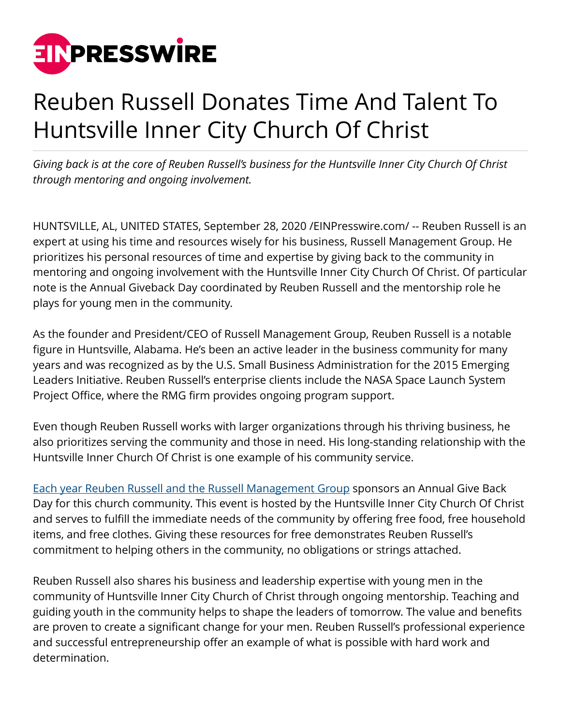

## Reuben Russell Donates Time And Talent To Huntsville Inner City Church Of Christ

*Giving back is at the core of Reuben Russell's business for the Huntsville Inner City Church Of Christ through mentoring and ongoing involvement.*

HUNTSVILLE, AL, UNITED STATES, September 28, 2020 [/EINPresswire.com](http://www.einpresswire.com)/ -- Reuben Russell is an expert at using his time and resources wisely for his business, Russell Management Group. He prioritizes his personal resources of time and expertise by giving back to the community in mentoring and ongoing involvement with the Huntsville Inner City Church Of Christ. Of particular note is the Annual Giveback Day coordinated by Reuben Russell and the mentorship role he plays for young men in the community.

As the founder and President/CEO of Russell Management Group, Reuben Russell is a notable figure in Huntsville, Alabama. He's been an active leader in the business community for many years and was recognized as by the U.S. Small Business Administration for the 2015 Emerging Leaders Initiative. Reuben Russell's enterprise clients include the NASA Space Launch System Project Office, where the RMG firm provides ongoing program support.

Even though Reuben Russell works with larger organizations through his thriving business, he also prioritizes serving the community and those in need. His long-standing relationship with the Huntsville Inner Church Of Christ is one example of his community service.

[Each year Reuben Russell and the Russell Management Group](https://www.crunchbase.com/person/reuben-russell) sponsors an Annual Give Back Day for this church community. This event is hosted by the Huntsville Inner City Church Of Christ and serves to fulfill the immediate needs of the community by offering free food, free household items, and free clothes. Giving these resources for free demonstrates Reuben Russell's commitment to helping others in the community, no obligations or strings attached.

Reuben Russell also shares his business and leadership expertise with young men in the community of Huntsville Inner City Church of Christ through ongoing mentorship. Teaching and guiding youth in the community helps to shape the leaders of tomorrow. The value and benefits are proven to create a significant change for your men. Reuben Russell's professional experience and successful entrepreneurship offer an example of what is possible with hard work and determination.